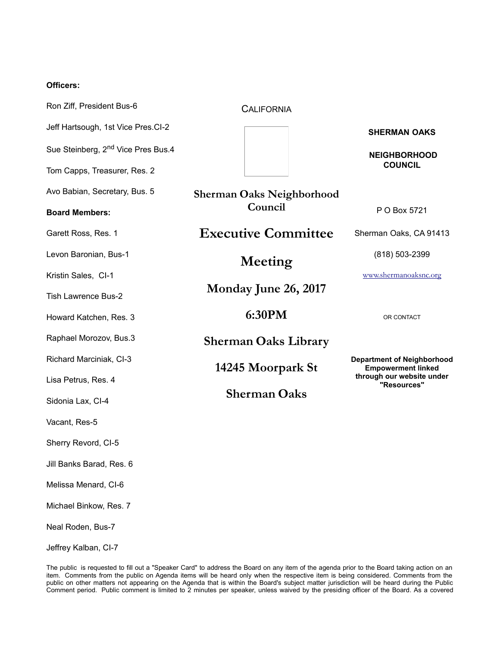## **Officers:**

| Ron Ziff, President Bus-6                      | <b>CALIFORNIA</b>                        |                                                                                                            |
|------------------------------------------------|------------------------------------------|------------------------------------------------------------------------------------------------------------|
| Jeff Hartsough, 1st Vice Pres.Cl-2             |                                          | <b>SHERMAN OAKS</b>                                                                                        |
| Sue Steinberg, 2 <sup>nd</sup> Vice Pres Bus.4 |                                          | <b>NEIGHBORHOOD</b>                                                                                        |
| Tom Capps, Treasurer, Res. 2                   |                                          | <b>COUNCIL</b>                                                                                             |
| Avo Babian, Secretary, Bus. 5                  | <b>Sherman Oaks Neighborhood</b>         |                                                                                                            |
| <b>Board Members:</b>                          | Council                                  | P O Box 5721                                                                                               |
| Garett Ross, Res. 1                            | <b>Executive Committee</b>               | Sherman Oaks, CA 91413                                                                                     |
| Levon Baronian, Bus-1                          | Meeting                                  | (818) 503-2399                                                                                             |
| Kristin Sales, CI-1                            |                                          | www.shermanoaksnc.org                                                                                      |
| <b>Tish Lawrence Bus-2</b>                     | Monday June 26, 2017                     |                                                                                                            |
| Howard Katchen, Res. 3                         | 6:30PM                                   | OR CONTACT                                                                                                 |
| Raphael Morozov, Bus.3                         | <b>Sherman Oaks Library</b>              |                                                                                                            |
| Richard Marciniak, CI-3                        | 14245 Moorpark St<br><b>Sherman Oaks</b> | <b>Department of Neighborhood</b><br><b>Empowerment linked</b><br>through our website under<br>"Resources" |
| Lisa Petrus, Res. 4                            |                                          |                                                                                                            |
| Sidonia Lax, Cl-4                              |                                          |                                                                                                            |
| Vacant, Res-5                                  |                                          |                                                                                                            |
| Sherry Revord, CI-5                            |                                          |                                                                                                            |
| Jill Banks Barad, Res. 6                       |                                          |                                                                                                            |
| Melissa Menard, CI-6                           |                                          |                                                                                                            |
| Michael Binkow, Res. 7                         |                                          |                                                                                                            |
|                                                |                                          |                                                                                                            |

Neal Roden, Bus-7

Jeffrey Kalban, CI-7

The public is requested to fill out a "Speaker Card" to address the Board on any item of the agenda prior to the Board taking action on an item. Comments from the public on Agenda items will be heard only when the respective item is being considered. Comments from the public on other matters not appearing on the Agenda that is within the Board's subject matter jurisdiction will be heard during the Public Comment period. Public comment is limited to 2 minutes per speaker, unless waived by the presiding officer of the Board. As a covered